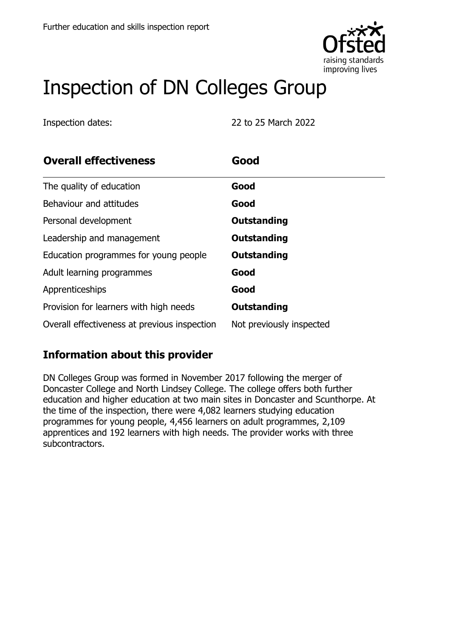

# Inspection of DN Colleges Group

Inspection dates: 22 to 25 March 2022

| <b>Overall effectiveness</b>                 | Good                     |
|----------------------------------------------|--------------------------|
| The quality of education                     | Good                     |
| Behaviour and attitudes                      | Good                     |
| Personal development                         | <b>Outstanding</b>       |
| Leadership and management                    | <b>Outstanding</b>       |
| Education programmes for young people        | Outstanding              |
| Adult learning programmes                    | Good                     |
| Apprenticeships                              | Good                     |
| Provision for learners with high needs       | Outstanding              |
| Overall effectiveness at previous inspection | Not previously inspected |

### **Information about this provider**

DN Colleges Group was formed in November 2017 following the merger of Doncaster College and North Lindsey College. The college offers both further education and higher education at two main sites in Doncaster and Scunthorpe. At the time of the inspection, there were 4,082 learners studying education programmes for young people, 4,456 learners on adult programmes, 2,109 apprentices and 192 learners with high needs. The provider works with three subcontractors.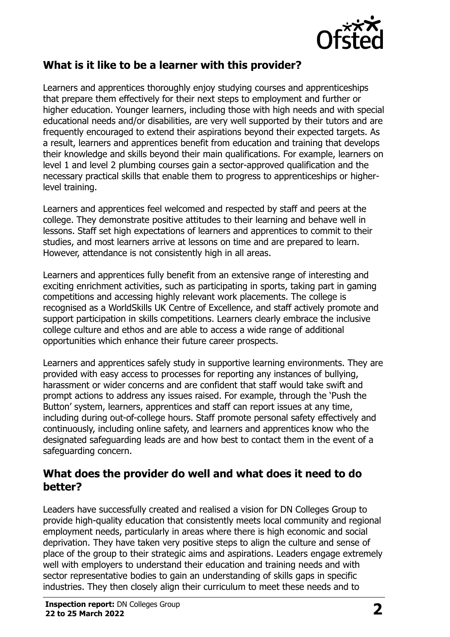

#### **What is it like to be a learner with this provider?**

Learners and apprentices thoroughly enjoy studying courses and apprenticeships that prepare them effectively for their next steps to employment and further or higher education. Younger learners, including those with high needs and with special educational needs and/or disabilities, are very well supported by their tutors and are frequently encouraged to extend their aspirations beyond their expected targets. As a result, learners and apprentices benefit from education and training that develops their knowledge and skills beyond their main qualifications. For example, learners on level 1 and level 2 plumbing courses gain a sector-approved qualification and the necessary practical skills that enable them to progress to apprenticeships or higherlevel training.

Learners and apprentices feel welcomed and respected by staff and peers at the college. They demonstrate positive attitudes to their learning and behave well in lessons. Staff set high expectations of learners and apprentices to commit to their studies, and most learners arrive at lessons on time and are prepared to learn. However, attendance is not consistently high in all areas.

Learners and apprentices fully benefit from an extensive range of interesting and exciting enrichment activities, such as participating in sports, taking part in gaming competitions and accessing highly relevant work placements. The college is recognised as a WorldSkills UK Centre of Excellence, and staff actively promote and support participation in skills competitions. Learners clearly embrace the inclusive college culture and ethos and are able to access a wide range of additional opportunities which enhance their future career prospects.

Learners and apprentices safely study in supportive learning environments. They are provided with easy access to processes for reporting any instances of bullying, harassment or wider concerns and are confident that staff would take swift and prompt actions to address any issues raised. For example, through the 'Push the Button' system, learners, apprentices and staff can report issues at any time, including during out-of-college hours. Staff promote personal safety effectively and continuously, including online safety, and learners and apprentices know who the designated safeguarding leads are and how best to contact them in the event of a safeguarding concern.

#### **What does the provider do well and what does it need to do better?**

Leaders have successfully created and realised a vision for DN Colleges Group to provide high-quality education that consistently meets local community and regional employment needs, particularly in areas where there is high economic and social deprivation. They have taken very positive steps to align the culture and sense of place of the group to their strategic aims and aspirations. Leaders engage extremely well with employers to understand their education and training needs and with sector representative bodies to gain an understanding of skills gaps in specific industries. They then closely align their curriculum to meet these needs and to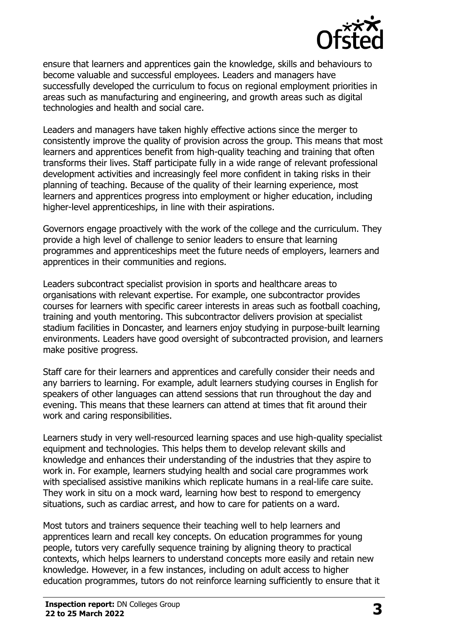

ensure that learners and apprentices gain the knowledge, skills and behaviours to become valuable and successful employees. Leaders and managers have successfully developed the curriculum to focus on regional employment priorities in areas such as manufacturing and engineering, and growth areas such as digital technologies and health and social care.

Leaders and managers have taken highly effective actions since the merger to consistently improve the quality of provision across the group. This means that most learners and apprentices benefit from high-quality teaching and training that often transforms their lives. Staff participate fully in a wide range of relevant professional development activities and increasingly feel more confident in taking risks in their planning of teaching. Because of the quality of their learning experience, most learners and apprentices progress into employment or higher education, including higher-level apprenticeships, in line with their aspirations.

Governors engage proactively with the work of the college and the curriculum. They provide a high level of challenge to senior leaders to ensure that learning programmes and apprenticeships meet the future needs of employers, learners and apprentices in their communities and regions.

Leaders subcontract specialist provision in sports and healthcare areas to organisations with relevant expertise. For example, one subcontractor provides courses for learners with specific career interests in areas such as football coaching, training and youth mentoring. This subcontractor delivers provision at specialist stadium facilities in Doncaster, and learners enjoy studying in purpose-built learning environments. Leaders have good oversight of subcontracted provision, and learners make positive progress.

Staff care for their learners and apprentices and carefully consider their needs and any barriers to learning. For example, adult learners studying courses in English for speakers of other languages can attend sessions that run throughout the day and evening. This means that these learners can attend at times that fit around their work and caring responsibilities.

Learners study in very well-resourced learning spaces and use high-quality specialist equipment and technologies. This helps them to develop relevant skills and knowledge and enhances their understanding of the industries that they aspire to work in. For example, learners studying health and social care programmes work with specialised assistive manikins which replicate humans in a real-life care suite. They work in situ on a mock ward, learning how best to respond to emergency situations, such as cardiac arrest, and how to care for patients on a ward.

Most tutors and trainers sequence their teaching well to help learners and apprentices learn and recall key concepts. On education programmes for young people, tutors very carefully sequence training by aligning theory to practical contexts, which helps learners to understand concepts more easily and retain new knowledge. However, in a few instances, including on adult access to higher education programmes, tutors do not reinforce learning sufficiently to ensure that it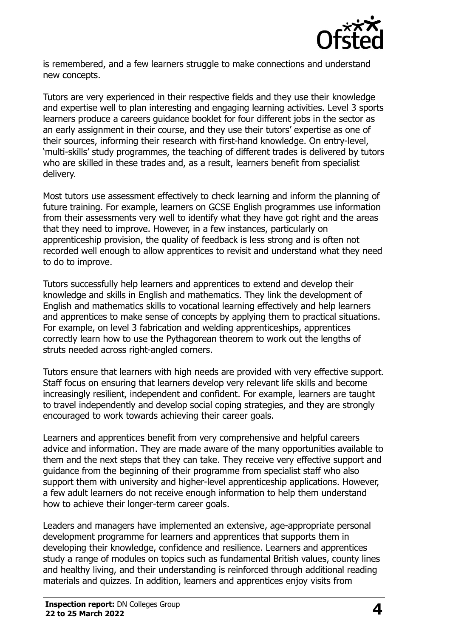

is remembered, and a few learners struggle to make connections and understand new concepts.

Tutors are very experienced in their respective fields and they use their knowledge and expertise well to plan interesting and engaging learning activities. Level 3 sports learners produce a careers guidance booklet for four different jobs in the sector as an early assignment in their course, and they use their tutors' expertise as one of their sources, informing their research with first-hand knowledge. On entry-level, 'multi-skills' study programmes, the teaching of different trades is delivered by tutors who are skilled in these trades and, as a result, learners benefit from specialist delivery.

Most tutors use assessment effectively to check learning and inform the planning of future training. For example, learners on GCSE English programmes use information from their assessments very well to identify what they have got right and the areas that they need to improve. However, in a few instances, particularly on apprenticeship provision, the quality of feedback is less strong and is often not recorded well enough to allow apprentices to revisit and understand what they need to do to improve.

Tutors successfully help learners and apprentices to extend and develop their knowledge and skills in English and mathematics. They link the development of English and mathematics skills to vocational learning effectively and help learners and apprentices to make sense of concepts by applying them to practical situations. For example, on level 3 fabrication and welding apprenticeships, apprentices correctly learn how to use the Pythagorean theorem to work out the lengths of struts needed across right-angled corners.

Tutors ensure that learners with high needs are provided with very effective support. Staff focus on ensuring that learners develop very relevant life skills and become increasingly resilient, independent and confident. For example, learners are taught to travel independently and develop social coping strategies, and they are strongly encouraged to work towards achieving their career goals.

Learners and apprentices benefit from very comprehensive and helpful careers advice and information. They are made aware of the many opportunities available to them and the next steps that they can take. They receive very effective support and guidance from the beginning of their programme from specialist staff who also support them with university and higher-level apprenticeship applications. However, a few adult learners do not receive enough information to help them understand how to achieve their longer-term career goals.

Leaders and managers have implemented an extensive, age-appropriate personal development programme for learners and apprentices that supports them in developing their knowledge, confidence and resilience. Learners and apprentices study a range of modules on topics such as fundamental British values, county lines and healthy living, and their understanding is reinforced through additional reading materials and quizzes. In addition, learners and apprentices enjoy visits from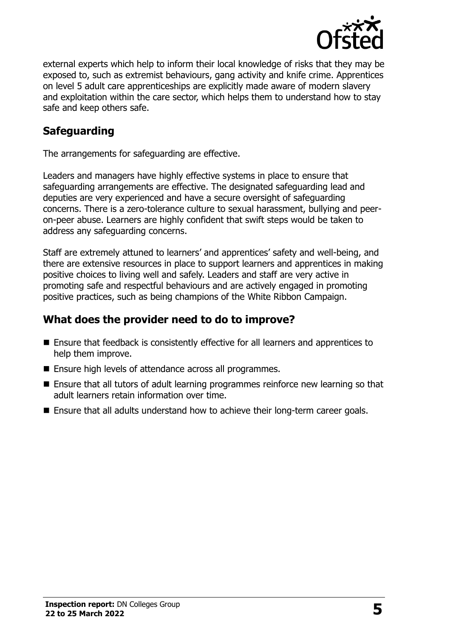

external experts which help to inform their local knowledge of risks that they may be exposed to, such as extremist behaviours, gang activity and knife crime. Apprentices on level 5 adult care apprenticeships are explicitly made aware of modern slavery and exploitation within the care sector, which helps them to understand how to stay safe and keep others safe.

#### **Safeguarding**

The arrangements for safeguarding are effective.

Leaders and managers have highly effective systems in place to ensure that safeguarding arrangements are effective. The designated safeguarding lead and deputies are very experienced and have a secure oversight of safeguarding concerns. There is a zero-tolerance culture to sexual harassment, bullying and peeron-peer abuse. Learners are highly confident that swift steps would be taken to address any safeguarding concerns.

Staff are extremely attuned to learners' and apprentices' safety and well-being, and there are extensive resources in place to support learners and apprentices in making positive choices to living well and safely. Leaders and staff are very active in promoting safe and respectful behaviours and are actively engaged in promoting positive practices, such as being champions of the White Ribbon Campaign.

#### **What does the provider need to do to improve?**

- Ensure that feedback is consistently effective for all learners and apprentices to help them improve.
- Ensure high levels of attendance across all programmes.
- Ensure that all tutors of adult learning programmes reinforce new learning so that adult learners retain information over time.
- Ensure that all adults understand how to achieve their long-term career goals.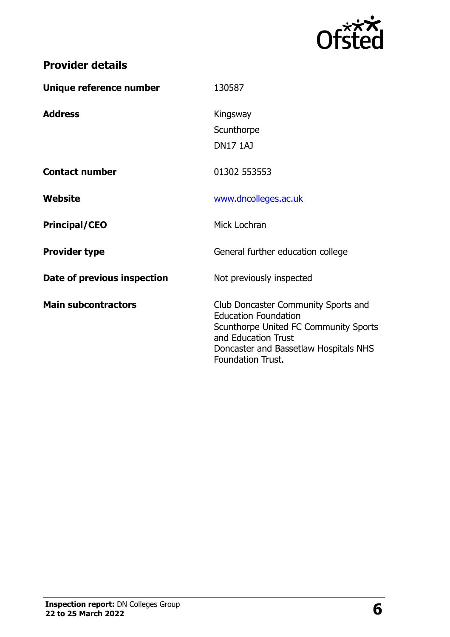

## **Provider details**

| Unique reference number     | 130587                                                                                                                                                                                                  |
|-----------------------------|---------------------------------------------------------------------------------------------------------------------------------------------------------------------------------------------------------|
| <b>Address</b>              | Kingsway<br>Scunthorpe<br><b>DN17 1AJ</b>                                                                                                                                                               |
| <b>Contact number</b>       | 01302 553553                                                                                                                                                                                            |
| Website                     | www.dncolleges.ac.uk                                                                                                                                                                                    |
| <b>Principal/CEO</b>        | Mick Lochran                                                                                                                                                                                            |
| <b>Provider type</b>        | General further education college                                                                                                                                                                       |
| Date of previous inspection | Not previously inspected                                                                                                                                                                                |
| <b>Main subcontractors</b>  | Club Doncaster Community Sports and<br><b>Education Foundation</b><br>Scunthorpe United FC Community Sports<br>and Education Trust<br>Doncaster and Bassetlaw Hospitals NHS<br><b>Foundation Trust.</b> |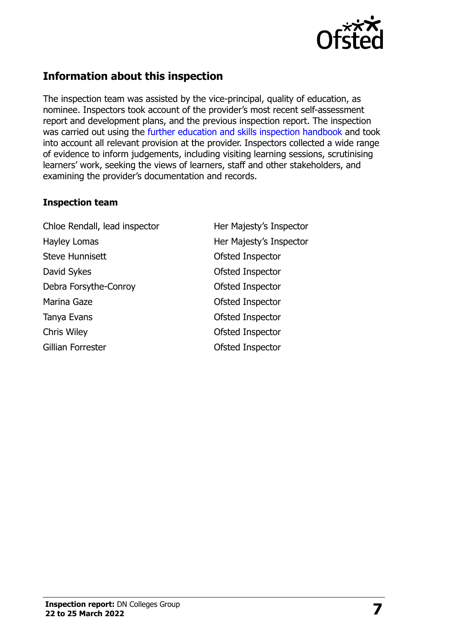

### **Information about this inspection**

The inspection team was assisted by the vice-principal, quality of education, as nominee. Inspectors took account of the provider's most recent self-assessment report and development plans, and the previous inspection report. The inspection was carried out using the [further education and skills inspection handbook](http://www.gov.uk/government/publications/further-education-and-skills-inspection-handbook-eif) and took into account all relevant provision at the provider. Inspectors collected a wide range of evidence to inform judgements, including visiting learning sessions, scrutinising learners' work, seeking the views of learners, staff and other stakeholders, and examining the provider's documentation and records.

#### **Inspection team**

Chloe Rendall, lead inspector **Her Majesty's Inspector** Hayley Lomas **Her Majesty's Inspector** Steve Hunnisett **Contract Contract Contract Contract Contract Contract Contract Contract Contract Contract Contract Contract Contract Contract Contract Contract Contract Contract Contract Contract Contract Contract Contrac** David Sykes **David Sykes Ofsted Inspector** Debra Forsythe-Conroy **Controller Controller Controller Controller Controller Controller Controller Controller Controller Controller Controller Controller Controller Controller Controller Controller Controller Controller C** Marina Gaze **Ofsted Inspector** Tanya Evans **Tanya Evans Contract Contract Contract Contract Contract Contract Contract Contract Contract Contract Contract Contract Contract Contract Contract Contract Contract Contract Contract Contract Contract Contra** Chris Wiley Ofsted Inspector Gillian Forrester **Contact Contact Contact Contact Contact Contact Contact Contact Contact Contact Contact Contact Contact Contact Contact Contact Contact Contact Contact Contact Contact Contact Contact Contact Contact Con**